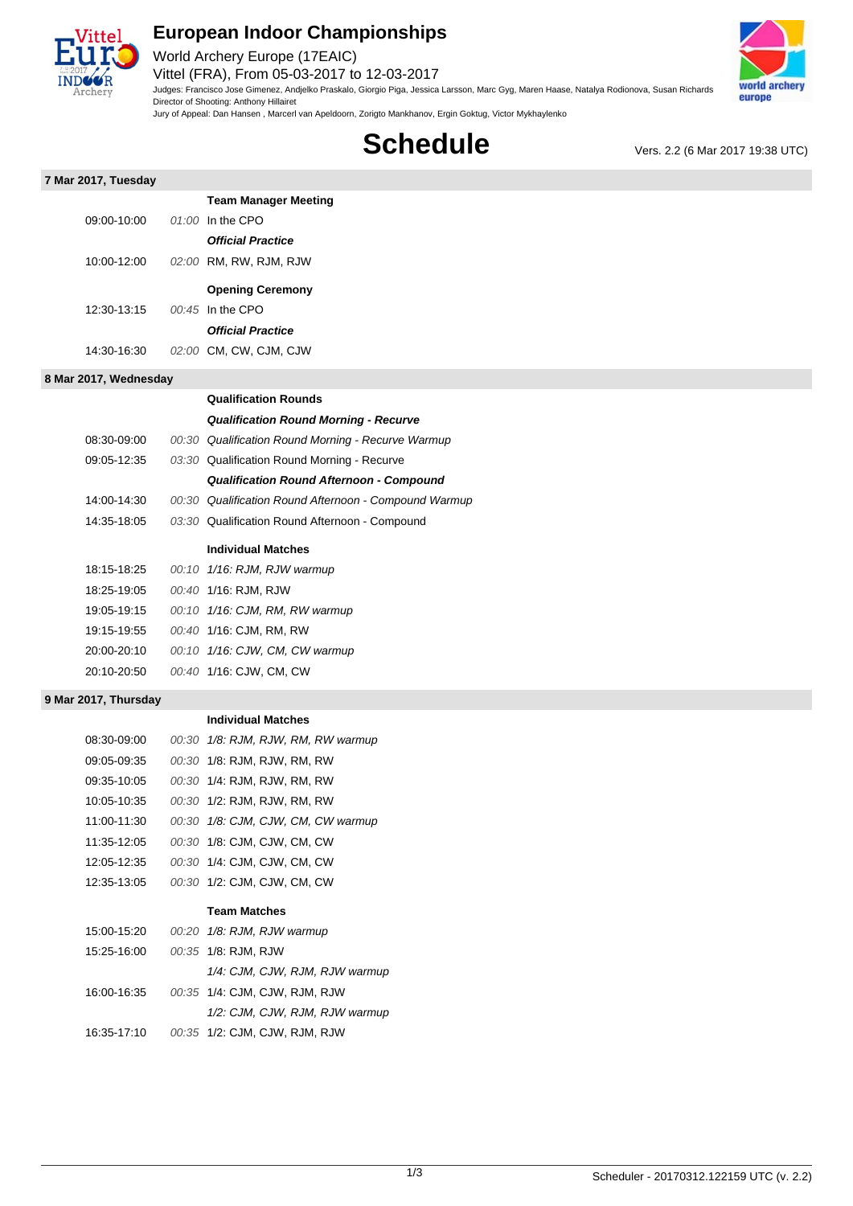

## **European Indoor Championships**

World Archery Europe (17EAIC) Vittel (FRA), From 05-03-2017 to 12-03-2017 Judges: Francisco Jose Gimenez, Andjelko Praskalo, Giorgio Piga, Jessica Larsson, Marc Gyg, Maren Haase, Natalya Rodionova, Susan Richards

Director of Shooting: Anthony Hillairet Jury of Appeal: Dan Hansen , Marcerl van Apeldoorn, Zorigto Mankhanov, Ergin Goktug, Victor Mykhaylenko



**Schedule** Vers. 2.2 (6 Mar 2017 19:38 UTC)

|  | 7 Mar 2017, Tuesday |
|--|---------------------|
|  |                     |

| 7 Mar 2017, Tuesday   |                                                       |
|-----------------------|-------------------------------------------------------|
|                       | <b>Team Manager Meeting</b>                           |
| 09:00-10:00           | $01:00$ In the CPO                                    |
|                       | <b>Official Practice</b>                              |
| 10:00-12:00           | 02:00 RM, RW, RJM, RJW                                |
|                       | <b>Opening Ceremony</b>                               |
| 12:30-13:15           | 00:45 In the CPO                                      |
|                       | <b>Official Practice</b>                              |
| 14:30-16:30           | 02:00 CM, CW, CJM, CJW                                |
|                       |                                                       |
| 8 Mar 2017, Wednesday |                                                       |
|                       | <b>Qualification Rounds</b>                           |
|                       | <b>Qualification Round Morning - Recurve</b>          |
| 08:30-09:00           | 00:30 Qualification Round Morning - Recurve Warmup    |
| 09:05-12:35           | 03:30 Qualification Round Morning - Recurve           |
|                       | <b>Qualification Round Afternoon - Compound</b>       |
| 14:00-14:30           | 00:30 Qualification Round Afternoon - Compound Warmup |
| 14:35-18:05           | 03:30 Qualification Round Afternoon - Compound        |
|                       | <b>Individual Matches</b>                             |
|                       |                                                       |
| 18:15-18:25           | 00:10 1/16: RJM, RJW warmup                           |
| 18:25-19:05           | 00:40 1/16: RJM, RJW                                  |
| 19:05-19:15           | 00:10 1/16: CJM, RM, RW warmup                        |

19:15-19:55 00:40 1/16: CJM, RM, RW

20:10-20:50 00:40 1/16: CJW, CM, CW

### **9 Mar 2017, Thursday**

**Individual Matches**

| 08:30-09:00 | 00:30 1/8: RJM, RJW, RM, RW warmup |
|-------------|------------------------------------|
| 09:05-09:35 | 00:30 1/8: RJM, RJW, RM, RW        |
| 09:35-10:05 | 00:30 1/4: RJM, RJW, RM, RW        |
| 10:05-10:35 | 00:30 1/2: RJM, RJW, RM, RW        |
| 11:00-11:30 | 00:30 1/8: CJM, CJW, CM, CW warmup |
| 11:35-12:05 | 00:30 1/8: CJM, CJW, CM, CW        |
| 12:05-12:35 | 00:30 1/4: CJM, CJW, CM, CW        |
| 12:35-13:05 | 00:30 1/2: CJM, CJW, CM, CW        |
|             | <b>Team Matches</b>                |
| 15:00-15:20 | 00:20 1/8: RJM, RJW warmup         |
| 15:25-16:00 | 00:35 1/8: RJM, RJW                |
|             | 1/4: CJM, CJW, RJM, RJW warmup     |
| 16:00-16:35 | 00:35 1/4: CJM, CJW, RJM, RJW      |
|             | 1/2: CJM, CJW, RJM, RJW warmup     |
| 16:35-17:10 | 00:35 1/2: CJM, CJW, RJM, RJW      |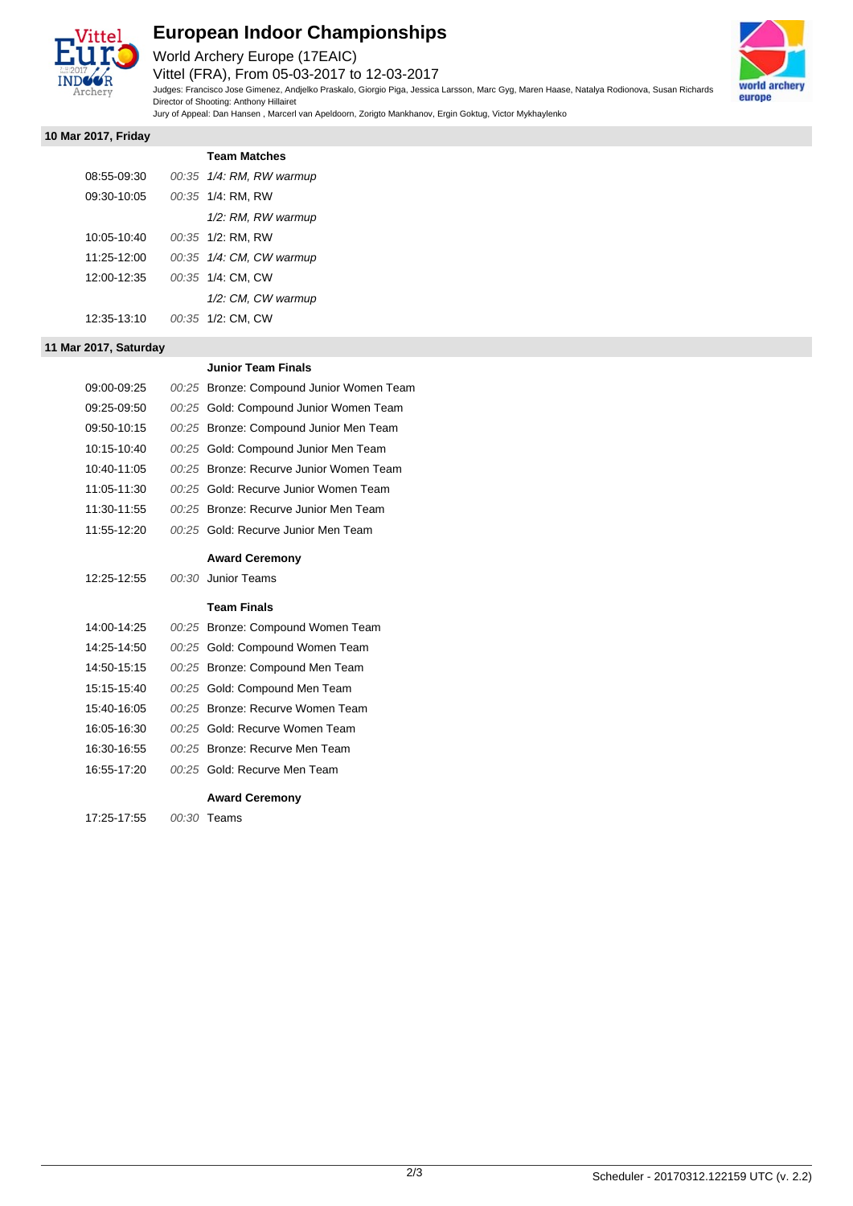

# **European Indoor Championships**

World Archery Europe (17EAIC)

Vittel (FRA), From 05-03-2017 to 12-03-2017 Judges: Francisco Jose Gimenez, Andjelko Praskalo, Giorgio Piga, Jessica Larsson, Marc Gyg, Maren Haase, Natalya Rodionova, Susan Richards Director of Shooting: Anthony Hillairet

Jury of Appeal: Dan Hansen , Marcerl van Apeldoorn, Zorigto Mankhanov, Ergin Goktug, Victor Mykhaylenko



#### **10 Mar 2017, Friday**

|             | <b>Team Matches</b>      |
|-------------|--------------------------|
| 08:55-09:30 | 00:35 1/4: RM, RW warmup |
| 09:30-10:05 | 00:35 1/4: RM, RW        |
|             | 1/2: RM, RW warmup       |
| 10:05-10:40 | 00:35 1/2: RM, RW        |
| 11:25-12:00 | 00:35 1/4: CM, CW warmup |
| 12:00-12:35 | 00:35 1/4: CM, CW        |
|             | 1/2: CM, CW warmup       |
| 12:35:13:10 | 00:35 1/2: CM, CW        |

### **11 Mar 2017, Saturday**

## **Junior Team Finals**

| 09:00-09:25 | 00:25 Bronze: Compound Junior Women Team |
|-------------|------------------------------------------|
| 09:25-09:50 | 00:25 Gold: Compound Junior Women Team   |
| 09:50-10:15 | 00:25 Bronze: Compound Junior Men Team   |
| 10:15-10:40 | 00:25 Gold: Compound Junior Men Team     |
| 10:40-11:05 | 00:25 Bronze: Recurve Junior Women Team  |
| 11:05-11:30 | 00:25 Gold: Recurve Junior Women Team    |
| 11:30-11:55 | 00:25 Bronze: Recurve Junior Men Team    |
| 11:55-12:20 | 00:25 Gold: Recurve Junior Men Team      |
|             | <b>Award Ceremony</b>                    |
| 12:25-12:55 | 00:30 Junior Teams                       |
|             |                                          |
|             | <b>Team Finals</b>                       |
| 14:00-14:25 | 00:25 Bronze: Compound Women Team        |
| 14:25-14:50 | 00:25 Gold: Compound Women Team          |
| 14:50-15:15 | 00:25 Bronze: Compound Men Team          |
| 15:15-15:40 | 00:25 Gold: Compound Men Team            |
| 15:40-16:05 | 00:25 Bronze: Recurve Women Team         |
| 16:05-16:30 | 00:25 Gold: Recurve Women Team           |
| 16:30-16:55 | 00:25 Bronze: Recurve Men Team           |
| 16:55-17:20 | 00:25 Gold: Recurve Men Team             |
|             | <b>Award Ceremony</b>                    |
|             |                                          |
| 17:25-17:55 | 00:30 Teams                              |